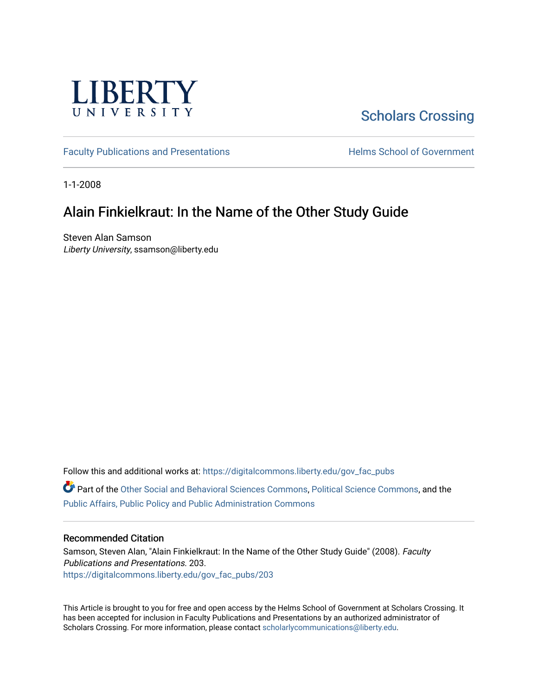

# [Scholars Crossing](https://digitalcommons.liberty.edu/)

[Faculty Publications and Presentations](https://digitalcommons.liberty.edu/gov_fac_pubs) **Exercise School of Government** 

1-1-2008

## Alain Finkielkraut: In the Name of the Other Study Guide

Steven Alan Samson Liberty University, ssamson@liberty.edu

Follow this and additional works at: [https://digitalcommons.liberty.edu/gov\\_fac\\_pubs](https://digitalcommons.liberty.edu/gov_fac_pubs?utm_source=digitalcommons.liberty.edu%2Fgov_fac_pubs%2F203&utm_medium=PDF&utm_campaign=PDFCoverPages)

Part of the [Other Social and Behavioral Sciences Commons](http://network.bepress.com/hgg/discipline/437?utm_source=digitalcommons.liberty.edu%2Fgov_fac_pubs%2F203&utm_medium=PDF&utm_campaign=PDFCoverPages), [Political Science Commons](http://network.bepress.com/hgg/discipline/386?utm_source=digitalcommons.liberty.edu%2Fgov_fac_pubs%2F203&utm_medium=PDF&utm_campaign=PDFCoverPages), and the [Public Affairs, Public Policy and Public Administration Commons](http://network.bepress.com/hgg/discipline/393?utm_source=digitalcommons.liberty.edu%2Fgov_fac_pubs%2F203&utm_medium=PDF&utm_campaign=PDFCoverPages)

#### Recommended Citation

Samson, Steven Alan, "Alain Finkielkraut: In the Name of the Other Study Guide" (2008). Faculty Publications and Presentations. 203. [https://digitalcommons.liberty.edu/gov\\_fac\\_pubs/203](https://digitalcommons.liberty.edu/gov_fac_pubs/203?utm_source=digitalcommons.liberty.edu%2Fgov_fac_pubs%2F203&utm_medium=PDF&utm_campaign=PDFCoverPages)

This Article is brought to you for free and open access by the Helms School of Government at Scholars Crossing. It has been accepted for inclusion in Faculty Publications and Presentations by an authorized administrator of Scholars Crossing. For more information, please contact [scholarlycommunications@liberty.edu.](mailto:scholarlycommunications@liberty.edu)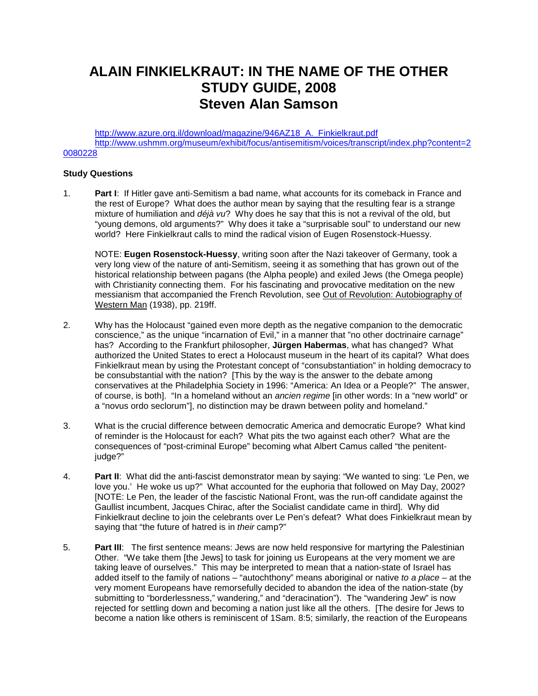# **ALAIN FINKIELKRAUT: IN THE NAME OF THE OTHER STUDY GUIDE, 2008 Steven Alan Samson**

http://www.azure.org.il/download/magazine/946AZ18 A. Finkielkraut.pdf [http://www.ushmm.org/museum/exhibit/focus/antisemitism/voices/transcript/index.php?content=2](http://www.ushmm.org/museum/exhibit/focus/antisemitism/voices/transcript/index.php?content=20080228) [0080228](http://www.ushmm.org/museum/exhibit/focus/antisemitism/voices/transcript/index.php?content=20080228)

### **Study Questions**

1. **Part I**: If Hitler gave anti-Semitism a bad name, what accounts for its comeback in France and the rest of Europe? What does the author mean by saying that the resulting fear is a strange mixture of humiliation and *déjà vu*? Why does he say that this is not a revival of the old, but "young demons, old arguments?" Why does it take a "surprisable soul" to understand our new world? Here Finkielkraut calls to mind the radical vision of Eugen Rosenstock-Huessy.

NOTE: **Eugen Rosenstock-Huessy**, writing soon after the Nazi takeover of Germany, took a very long view of the nature of anti-Semitism, seeing it as something that has grown out of the historical relationship between pagans (the Alpha people) and exiled Jews (the Omega people) with Christianity connecting them. For his fascinating and provocative meditation on the new messianism that accompanied the French Revolution, see Out of Revolution: Autobiography of Western Man (1938), pp. 219ff.

- 2. Why has the Holocaust "gained even more depth as the negative companion to the democratic conscience," as the unique "incarnation of Evil," in a manner that "no other doctrinaire carnage" has? According to the Frankfurt philosopher, **Jürgen Habermas**, what has changed? What authorized the United States to erect a Holocaust museum in the heart of its capital? What does Finkielkraut mean by using the Protestant concept of "consubstantiation" in holding democracy to be consubstantial with the nation? [This by the way is the answer to the debate among conservatives at the Philadelphia Society in 1996: "America: An Idea or a People?" The answer, of course, is both]. "In a homeland without an *ancien regime* [in other words: In a "new world" or a "novus ordo seclorum"], no distinction may be drawn between polity and homeland."
- 3. What is the crucial difference between democratic America and democratic Europe? What kind of reminder is the Holocaust for each? What pits the two against each other? What are the consequences of "post-criminal Europe" becoming what Albert Camus called "the penitentjudge?"
- 4. **Part II**: What did the anti-fascist demonstrator mean by saying: "We wanted to sing: 'Le Pen, we love you.' He woke us up?" What accounted for the euphoria that followed on May Day, 2002? [NOTE: Le Pen, the leader of the fascistic National Front, was the run-off candidate against the Gaullist incumbent, Jacques Chirac, after the Socialist candidate came in third]. Why did Finkielkraut decline to join the celebrants over Le Pen's defeat? What does Finkielkraut mean by saying that "the future of hatred is in *their* camp?"
- 5. **Part III**: The first sentence means: Jews are now held responsive for martyring the Palestinian Other. "We take them [the Jews] to task for joining us Europeans at the very moment we are taking leave of ourselves." This may be interpreted to mean that a nation-state of Israel has added itself to the family of nations – "autochthony" means aboriginal or native *to a place* – at the very moment Europeans have remorsefully decided to abandon the idea of the nation-state (by submitting to "borderlessness," wandering," and "deracination"). The "wandering Jew" is now rejected for settling down and becoming a nation just like all the others. [The desire for Jews to become a nation like others is reminiscent of 1Sam. 8:5; similarly, the reaction of the Europeans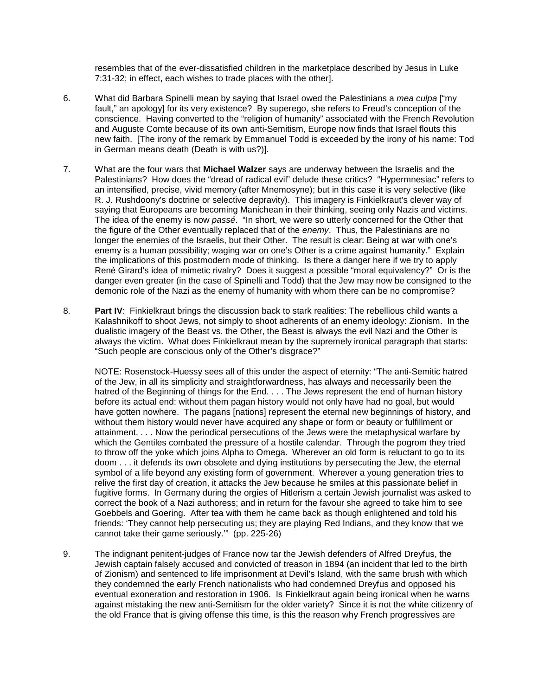resembles that of the ever-dissatisfied children in the marketplace described by Jesus in Luke 7:31-32; in effect, each wishes to trade places with the other].

- 6. What did Barbara Spinelli mean by saying that Israel owed the Palestinians a *mea culpa* ["my fault," an apology] for its very existence? By superego, she refers to Freud's conception of the conscience. Having converted to the "religion of humanity" associated with the French Revolution and Auguste Comte because of its own anti-Semitism, Europe now finds that Israel flouts this new faith. [The irony of the remark by Emmanuel Todd is exceeded by the irony of his name: Tod in German means death (Death is with us?)].
- 7. What are the four wars that **Michael Walzer** says are underway between the Israelis and the Palestinians? How does the "dread of radical evil" delude these critics? "Hypermnesiac" refers to an intensified, precise, vivid memory (after Mnemosyne); but in this case it is very selective (like R. J. Rushdoony's doctrine or selective depravity). This imagery is Finkielkraut's clever way of saying that Europeans are becoming Manichean in their thinking, seeing only Nazis and victims. The idea of the enemy is now *passé*. "In short, we were so utterly concerned for the Other that the figure of the Other eventually replaced that of the *enemy*. Thus, the Palestinians are no longer the enemies of the Israelis, but their Other. The result is clear: Being at war with one's enemy is a human possibility; waging war on one's Other is a crime against humanity." Explain the implications of this postmodern mode of thinking. Is there a danger here if we try to apply René Girard's idea of mimetic rivalry? Does it suggest a possible "moral equivalency?" Or is the danger even greater (in the case of Spinelli and Todd) that the Jew may now be consigned to the demonic role of the Nazi as the enemy of humanity with whom there can be no compromise?
- 8. **Part IV**: Finkielkraut brings the discussion back to stark realities: The rebellious child wants a Kalashnikoff to shoot Jews, not simply to shoot adherents of an enemy ideology: Zionism. In the dualistic imagery of the Beast vs. the Other, the Beast is always the evil Nazi and the Other is always the victim. What does Finkielkraut mean by the supremely ironical paragraph that starts: "Such people are conscious only of the Other's disgrace?"

NOTE: Rosenstock-Huessy sees all of this under the aspect of eternity: "The anti-Semitic hatred of the Jew, in all its simplicity and straightforwardness, has always and necessarily been the hatred of the Beginning of things for the End. . . . The Jews represent the end of human history before its actual end: without them pagan history would not only have had no goal, but would have gotten nowhere. The pagans [nations] represent the eternal new beginnings of history, and without them history would never have acquired any shape or form or beauty or fulfillment or attainment. . . . Now the periodical persecutions of the Jews were the metaphysical warfare by which the Gentiles combated the pressure of a hostile calendar. Through the pogrom they tried to throw off the yoke which joins Alpha to Omega. Wherever an old form is reluctant to go to its doom . . . it defends its own obsolete and dying institutions by persecuting the Jew, the eternal symbol of a life beyond any existing form of government. Wherever a young generation tries to relive the first day of creation, it attacks the Jew because he smiles at this passionate belief in fugitive forms. In Germany during the orgies of Hitlerism a certain Jewish journalist was asked to correct the book of a Nazi authoress; and in return for the favour she agreed to take him to see Goebbels and Goering. After tea with them he came back as though enlightened and told his friends: 'They cannot help persecuting us; they are playing Red Indians, and they know that we cannot take their game seriously.'" (pp. 225-26)

9. The indignant penitent-judges of France now tar the Jewish defenders of Alfred Dreyfus, the Jewish captain falsely accused and convicted of treason in 1894 (an incident that led to the birth of Zionism) and sentenced to life imprisonment at Devil's Island, with the same brush with which they condemned the early French nationalists who had condemned Dreyfus and opposed his eventual exoneration and restoration in 1906. Is Finkielkraut again being ironical when he warns against mistaking the new anti-Semitism for the older variety? Since it is not the white citizenry of the old France that is giving offense this time, is this the reason why French progressives are